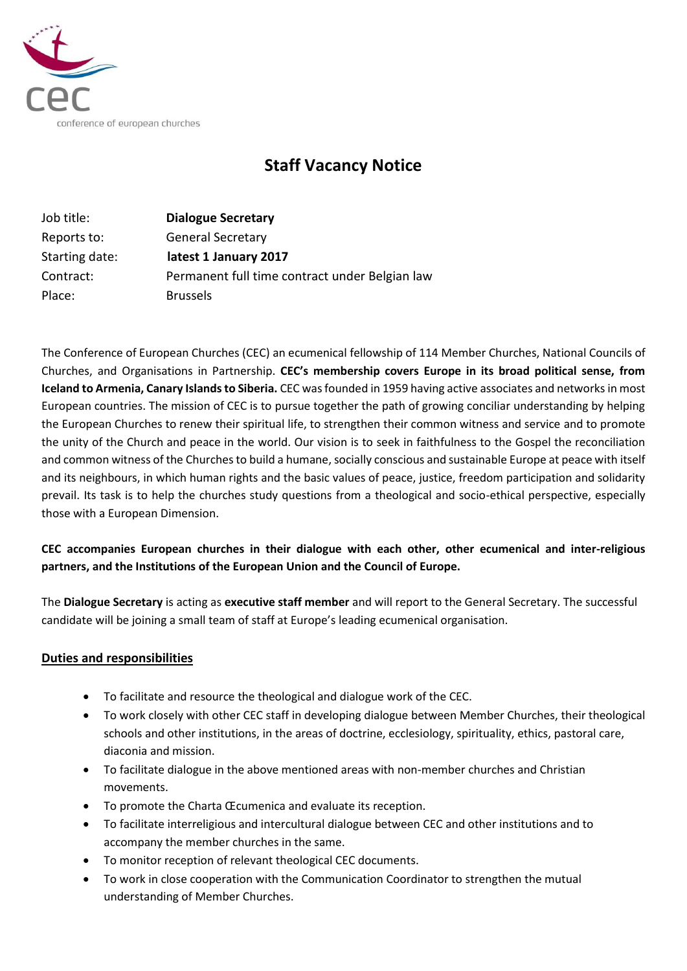

# **Staff Vacancy Notice**

| Job title:     | <b>Dialogue Secretary</b>                      |
|----------------|------------------------------------------------|
| Reports to:    | <b>General Secretary</b>                       |
| Starting date: | latest 1 January 2017                          |
| Contract:      | Permanent full time contract under Belgian law |
| Place:         | <b>Brussels</b>                                |

The Conference of European Churches (CEC) an ecumenical fellowship of 114 Member Churches, National Councils of Churches, and Organisations in Partnership. **CEC's membership covers Europe in its broad political sense, from Iceland to Armenia, Canary Islands to Siberia.** CEC was founded in 1959 having active associates and networks in most European countries. The mission of CEC is to pursue together the path of growing conciliar understanding by helping the European Churches to renew their spiritual life, to strengthen their common witness and service and to promote the unity of the Church and peace in the world. Our vision is to seek in faithfulness to the Gospel the reconciliation and common witness of the Churches to build a humane, socially conscious and sustainable Europe at peace with itself and its neighbours, in which human rights and the basic values of peace, justice, freedom participation and solidarity prevail. Its task is to help the churches study questions from a theological and socio-ethical perspective, especially those with a European Dimension.

## **CEC accompanies European churches in their dialogue with each other, other ecumenical and inter-religious partners, and the Institutions of the European Union and the Council of Europe.**

The **Dialogue Secretary** is acting as **executive staff member** and will report to the General Secretary. The successful candidate will be joining a small team of staff at Europe's leading ecumenical organisation.

### **Duties and responsibilities**

- To facilitate and resource the theological and dialogue work of the CEC.
- To work closely with other CEC staff in developing dialogue between Member Churches, their theological schools and other institutions, in the areas of doctrine, ecclesiology, spirituality, ethics, pastoral care, diaconia and mission.
- To facilitate dialogue in the above mentioned areas with non-member churches and Christian movements.
- To promote the Charta Œcumenica and evaluate its reception.
- To facilitate interreligious and intercultural dialogue between CEC and other institutions and to accompany the member churches in the same.
- To monitor reception of relevant theological CEC documents.
- To work in close cooperation with the Communication Coordinator to strengthen the mutual understanding of Member Churches.